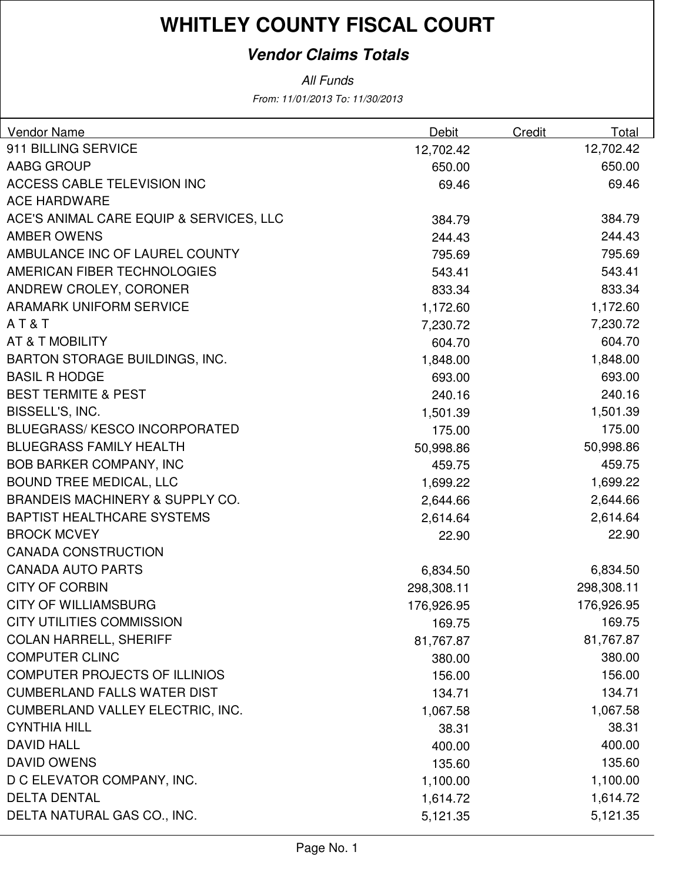### **Vendor Claims Totals**

| <b>Vendor Name</b>                         | Debit      | Credit | Total      |
|--------------------------------------------|------------|--------|------------|
| 911 BILLING SERVICE                        | 12,702.42  |        | 12,702.42  |
| <b>AABG GROUP</b>                          | 650.00     |        | 650.00     |
| <b>ACCESS CABLE TELEVISION INC</b>         | 69.46      |        | 69.46      |
| <b>ACE HARDWARE</b>                        |            |        |            |
| ACE'S ANIMAL CARE EQUIP & SERVICES, LLC    | 384.79     |        | 384.79     |
| <b>AMBER OWENS</b>                         | 244.43     |        | 244.43     |
| AMBULANCE INC OF LAUREL COUNTY             | 795.69     |        | 795.69     |
| AMERICAN FIBER TECHNOLOGIES                | 543.41     |        | 543.41     |
| ANDREW CROLEY, CORONER                     | 833.34     |        | 833.34     |
| <b>ARAMARK UNIFORM SERVICE</b>             | 1,172.60   |        | 1,172.60   |
| AT&T                                       | 7,230.72   |        | 7,230.72   |
| AT & T MOBILITY                            | 604.70     |        | 604.70     |
| <b>BARTON STORAGE BUILDINGS, INC.</b>      | 1,848.00   |        | 1,848.00   |
| <b>BASIL R HODGE</b>                       | 693.00     |        | 693.00     |
| <b>BEST TERMITE &amp; PEST</b>             | 240.16     |        | 240.16     |
| BISSELL'S, INC.                            | 1,501.39   |        | 1,501.39   |
| <b>BLUEGRASS/KESCO INCORPORATED</b>        | 175.00     |        | 175.00     |
| <b>BLUEGRASS FAMILY HEALTH</b>             | 50,998.86  |        | 50,998.86  |
| <b>BOB BARKER COMPANY, INC</b>             | 459.75     |        | 459.75     |
| <b>BOUND TREE MEDICAL, LLC</b>             | 1,699.22   |        | 1,699.22   |
| <b>BRANDEIS MACHINERY &amp; SUPPLY CO.</b> | 2,644.66   |        | 2,644.66   |
| <b>BAPTIST HEALTHCARE SYSTEMS</b>          | 2,614.64   |        | 2,614.64   |
| <b>BROCK MCVEY</b>                         | 22.90      |        | 22.90      |
| <b>CANADA CONSTRUCTION</b>                 |            |        |            |
| <b>CANADA AUTO PARTS</b>                   | 6,834.50   |        | 6,834.50   |
| <b>CITY OF CORBIN</b>                      | 298,308.11 |        | 298,308.11 |
| <b>CITY OF WILLIAMSBURG</b>                | 176,926.95 |        | 176,926.95 |
| <b>CITY UTILITIES COMMISSION</b>           | 169.75     |        | 169.75     |
| <b>COLAN HARRELL, SHERIFF</b>              | 81,767.87  |        | 81,767.87  |
| <b>COMPUTER CLINC</b>                      | 380.00     |        | 380.00     |
| <b>COMPUTER PROJECTS OF ILLINIOS</b>       | 156.00     |        | 156.00     |
| <b>CUMBERLAND FALLS WATER DIST</b>         | 134.71     |        | 134.71     |
| CUMBERLAND VALLEY ELECTRIC, INC.           | 1,067.58   |        | 1,067.58   |
| <b>CYNTHIA HILL</b>                        | 38.31      |        | 38.31      |
| <b>DAVID HALL</b>                          | 400.00     |        | 400.00     |
| <b>DAVID OWENS</b>                         | 135.60     |        | 135.60     |
| D C ELEVATOR COMPANY, INC.                 | 1,100.00   |        | 1,100.00   |
| <b>DELTA DENTAL</b>                        | 1,614.72   |        | 1,614.72   |
| DELTA NATURAL GAS CO., INC.                | 5,121.35   |        | 5,121.35   |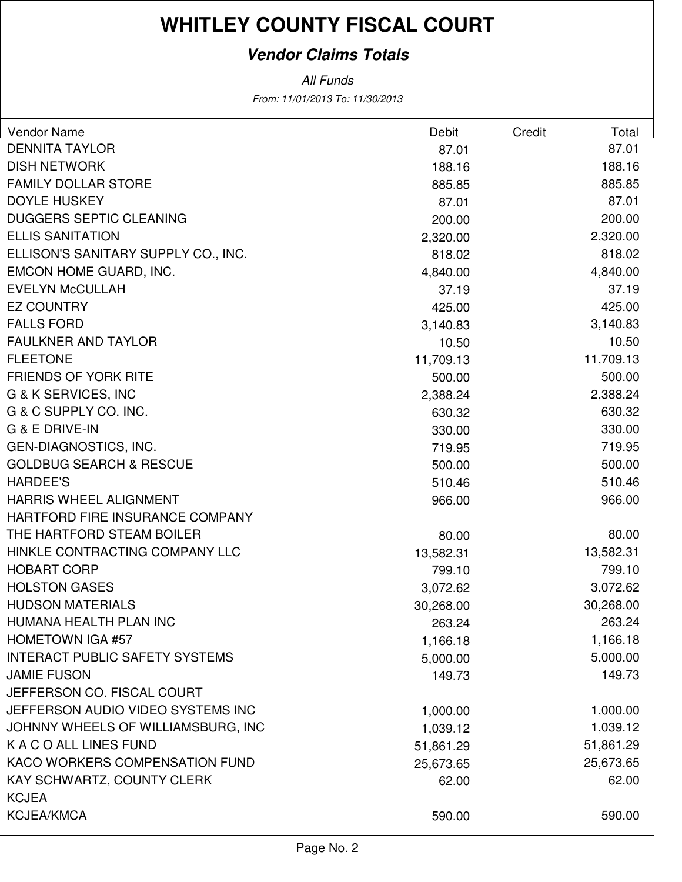### **Vendor Claims Totals**

| <b>Vendor Name</b>                    | Debit     | Credit | Total     |
|---------------------------------------|-----------|--------|-----------|
| <b>DENNITA TAYLOR</b>                 | 87.01     |        | 87.01     |
| <b>DISH NETWORK</b>                   | 188.16    |        | 188.16    |
| <b>FAMILY DOLLAR STORE</b>            | 885.85    |        | 885.85    |
| <b>DOYLE HUSKEY</b>                   | 87.01     |        | 87.01     |
| <b>DUGGERS SEPTIC CLEANING</b>        | 200.00    |        | 200.00    |
| <b>ELLIS SANITATION</b>               | 2,320.00  |        | 2,320.00  |
| ELLISON'S SANITARY SUPPLY CO., INC.   | 818.02    |        | 818.02    |
| EMCON HOME GUARD, INC.                | 4,840.00  |        | 4,840.00  |
| <b>EVELYN McCULLAH</b>                | 37.19     |        | 37.19     |
| <b>EZ COUNTRY</b>                     | 425.00    |        | 425.00    |
| <b>FALLS FORD</b>                     | 3,140.83  |        | 3,140.83  |
| <b>FAULKNER AND TAYLOR</b>            | 10.50     |        | 10.50     |
| <b>FLEETONE</b>                       | 11,709.13 |        | 11,709.13 |
| <b>FRIENDS OF YORK RITE</b>           | 500.00    |        | 500.00    |
| <b>G &amp; K SERVICES, INC</b>        | 2,388.24  |        | 2,388.24  |
| G & C SUPPLY CO. INC.                 | 630.32    |        | 630.32    |
| G & E DRIVE-IN                        | 330.00    |        | 330.00    |
| <b>GEN-DIAGNOSTICS, INC.</b>          | 719.95    |        | 719.95    |
| <b>GOLDBUG SEARCH &amp; RESCUE</b>    | 500.00    |        | 500.00    |
| <b>HARDEE'S</b>                       | 510.46    |        | 510.46    |
| <b>HARRIS WHEEL ALIGNMENT</b>         | 966.00    |        | 966.00    |
| HARTFORD FIRE INSURANCE COMPANY       |           |        |           |
| THE HARTFORD STEAM BOILER             | 80.00     |        | 80.00     |
| HINKLE CONTRACTING COMPANY LLC        | 13,582.31 |        | 13,582.31 |
| <b>HOBART CORP</b>                    | 799.10    |        | 799.10    |
| <b>HOLSTON GASES</b>                  | 3,072.62  |        | 3,072.62  |
| <b>HUDSON MATERIALS</b>               | 30,268.00 |        | 30,268.00 |
| HUMANA HEALTH PLAN INC                | 263.24    |        | 263.24    |
| <b>HOMETOWN IGA #57</b>               | 1,166.18  |        | 1,166.18  |
| <b>INTERACT PUBLIC SAFETY SYSTEMS</b> | 5,000.00  |        | 5,000.00  |
| <b>JAMIE FUSON</b>                    | 149.73    |        | 149.73    |
| JEFFERSON CO. FISCAL COURT            |           |        |           |
| JEFFERSON AUDIO VIDEO SYSTEMS INC     | 1,000.00  |        | 1,000.00  |
| JOHNNY WHEELS OF WILLIAMSBURG, INC    | 1,039.12  |        | 1,039.12  |
| K A C O ALL LINES FUND                | 51,861.29 |        | 51,861.29 |
| KACO WORKERS COMPENSATION FUND        | 25,673.65 |        | 25,673.65 |
| KAY SCHWARTZ, COUNTY CLERK            | 62.00     |        | 62.00     |
| <b>KCJEA</b>                          |           |        |           |
| <b>KCJEA/KMCA</b>                     | 590.00    |        | 590.00    |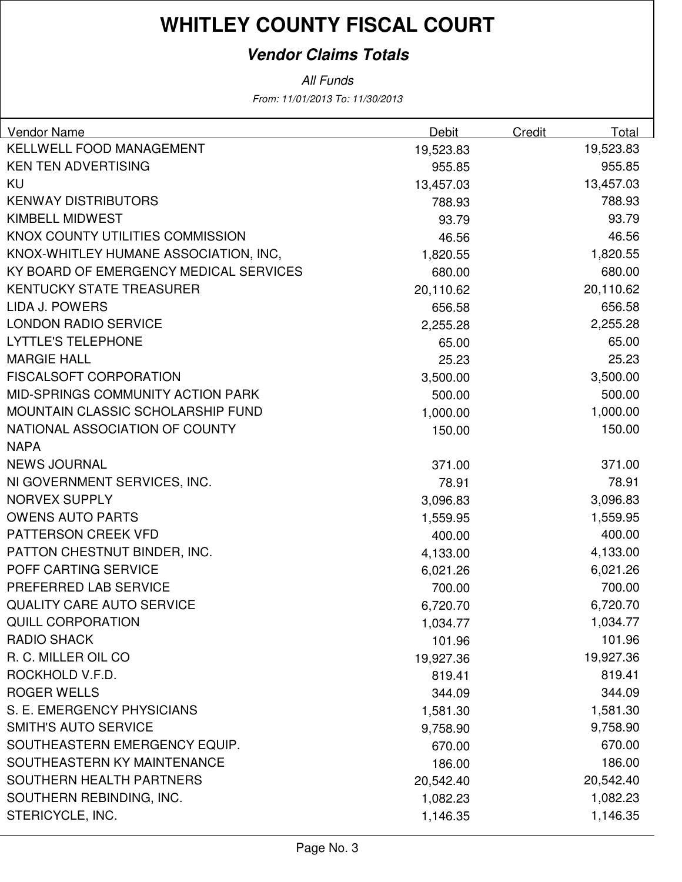### **Vendor Claims Totals**

| Vendor Name                            | <b>Debit</b> | <b>Credit</b> | <b>Total</b> |
|----------------------------------------|--------------|---------------|--------------|
| KELLWELL FOOD MANAGEMENT               | 19,523.83    |               | 19,523.83    |
| <b>KEN TEN ADVERTISING</b>             | 955.85       |               | 955.85       |
| KU                                     | 13,457.03    |               | 13,457.03    |
| <b>KENWAY DISTRIBUTORS</b>             | 788.93       |               | 788.93       |
| <b>KIMBELL MIDWEST</b>                 | 93.79        |               | 93.79        |
| KNOX COUNTY UTILITIES COMMISSION       | 46.56        |               | 46.56        |
| KNOX-WHITLEY HUMANE ASSOCIATION, INC,  | 1,820.55     |               | 1,820.55     |
| KY BOARD OF EMERGENCY MEDICAL SERVICES | 680.00       |               | 680.00       |
| <b>KENTUCKY STATE TREASURER</b>        | 20,110.62    |               | 20,110.62    |
| <b>LIDA J. POWERS</b>                  | 656.58       |               | 656.58       |
| <b>LONDON RADIO SERVICE</b>            | 2,255.28     |               | 2,255.28     |
| <b>LYTTLE'S TELEPHONE</b>              | 65.00        |               | 65.00        |
| <b>MARGIE HALL</b>                     | 25.23        |               | 25.23        |
| <b>FISCALSOFT CORPORATION</b>          | 3,500.00     |               | 3,500.00     |
| MID-SPRINGS COMMUNITY ACTION PARK      | 500.00       |               | 500.00       |
| MOUNTAIN CLASSIC SCHOLARSHIP FUND      | 1,000.00     |               | 1,000.00     |
| NATIONAL ASSOCIATION OF COUNTY         | 150.00       |               | 150.00       |
| <b>NAPA</b>                            |              |               |              |
| <b>NEWS JOURNAL</b>                    | 371.00       |               | 371.00       |
| NI GOVERNMENT SERVICES, INC.           | 78.91        |               | 78.91        |
| <b>NORVEX SUPPLY</b>                   | 3,096.83     |               | 3,096.83     |
| <b>OWENS AUTO PARTS</b>                | 1,559.95     |               | 1,559.95     |
| PATTERSON CREEK VFD                    | 400.00       |               | 400.00       |
| PATTON CHESTNUT BINDER, INC.           | 4,133.00     |               | 4,133.00     |
| POFF CARTING SERVICE                   | 6,021.26     |               | 6,021.26     |
| PREFERRED LAB SERVICE                  | 700.00       |               | 700.00       |
| <b>QUALITY CARE AUTO SERVICE</b>       | 6,720.70     |               | 6,720.70     |
| <b>QUILL CORPORATION</b>               | 1,034.77     |               | 1,034.77     |
| <b>RADIO SHACK</b>                     | 101.96       |               | 101.96       |
| R. C. MILLER OIL CO                    | 19,927.36    |               | 19,927.36    |
| ROCKHOLD V.F.D.                        | 819.41       |               | 819.41       |
| <b>ROGER WELLS</b>                     | 344.09       |               | 344.09       |
| S. E. EMERGENCY PHYSICIANS             | 1,581.30     |               | 1,581.30     |
| <b>SMITH'S AUTO SERVICE</b>            | 9,758.90     |               | 9,758.90     |
| SOUTHEASTERN EMERGENCY EQUIP.          | 670.00       |               | 670.00       |
| SOUTHEASTERN KY MAINTENANCE            | 186.00       |               | 186.00       |
| SOUTHERN HEALTH PARTNERS               | 20,542.40    |               | 20,542.40    |
| SOUTHERN REBINDING, INC.               | 1,082.23     |               | 1,082.23     |
| STERICYCLE, INC.                       | 1,146.35     |               | 1,146.35     |